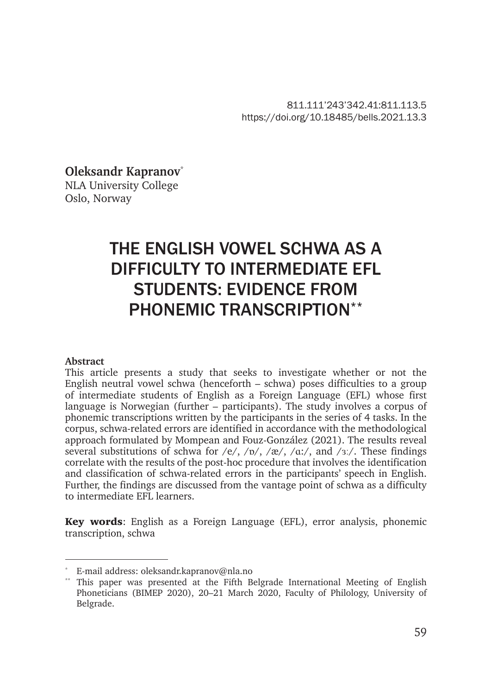811.111'243'342.41:811.113.5 https://doi.org/10.18485/bells.2021.13.3

**Oleksandr Kapranov**\* NLA University College Oslo, Norway

# THE ENGLISH VOWEL SCHWA AS A DIFFICULTY TO INTERMEDIATE EFL STUDENTS: EVIDENCE FROM PHONEMIC TRANSCRIPTION\*\*

#### **Abstract**

This article presents a study that seeks to investigate whether or not the English neutral vowel schwa (henceforth – schwa) poses difficulties to a group of intermediate students of English as a Foreign Language (EFL) whose first language is Norwegian (further – participants). The study involves a corpus of phonemic transcriptions written by the participants in the series of 4 tasks. In the corpus, schwa-related errors are identified in accordance with the methodological approach formulated by Mompean and Fouz-González (2021). The results reveal several substitutions of schwa for /e/, / $\nu$ /, /æ/, /ɑː/, and /ɜː/. These findings correlate with the results of the post-hoc procedure that involves the identification and classification of schwa-related errors in the participants' speech in English. Further, the findings are discussed from the vantage point of schwa as a difficulty to intermediate EFL learners.

Key words: English as a Foreign Language (EFL), error analysis, phonemic transcription, schwa

E-mail address: oleksandr.kapranov@nla.no

This paper was presented at the Fifth Belgrade International Meeting of English Phoneticians (BIMEP 2020), 20–21 March 2020, Faculty of Philology, University of Belgrade.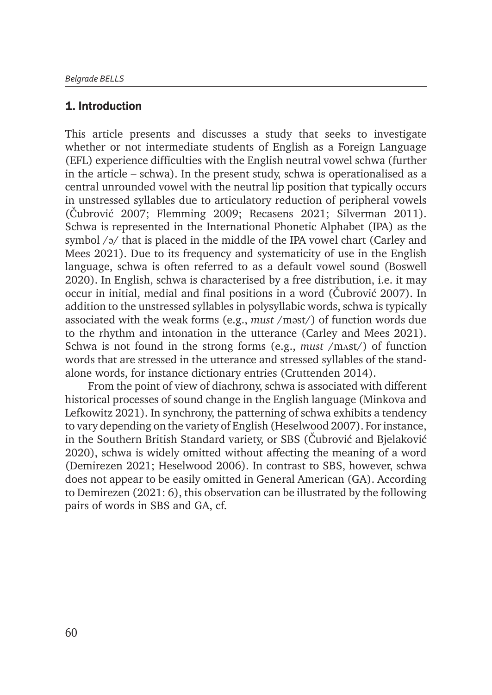# 1. Introduction

This article presents and discusses a study that seeks to investigate whether or not intermediate students of English as a Foreign Language (EFL) experience difficulties with the English neutral vowel schwa (further in the article – schwa). In the present study, schwa is operationalised as a central unrounded vowel with the neutral lip position that typically occurs in unstressed syllables due to articulatory reduction of peripheral vowels (Čubrović 2007; Flemming 2009; Recasens 2021; Silverman 2011). Schwa is represented in the International Phonetic Alphabet (IPA) as the symbol /ə/ that is placed in the middle of the IPA vowel chart (Carley and Mees 2021). Due to its frequency and systematicity of use in the English language, schwa is often referred to as a default vowel sound (Boswell 2020). In English, schwa is characterised by a free distribution, i.e. it may occur in initial, medial and final positions in a word (Čubrović 2007). In addition to the unstressed syllables in polysyllabic words, schwa is typically associated with the weak forms (e.g., *must* /məst/) of function words due to the rhythm and intonation in the utterance (Carley and Mees 2021). Schwa is not found in the strong forms (e.g., *must* /mʌst/) of function words that are stressed in the utterance and stressed syllables of the standalone words, for instance dictionary entries (Cruttenden 2014).

From the point of view of diachrony, schwa is associated with different historical processes of sound change in the English language (Minkova and Lefkowitz 2021). In synchrony, the patterning of schwa exhibits a tendency to vary depending on the variety of English (Heselwood 2007). For instance, in the Southern British Standard variety, or SBS (Čubrović and Bjelaković 2020), schwa is widely omitted without affecting the meaning of a word (Demirezen 2021; Heselwood 2006). In contrast to SBS, however, schwa does not appear to be easily omitted in General American (GA). According to Demirezen (2021: 6), this observation can be illustrated by the following pairs of words in SBS and GA, cf.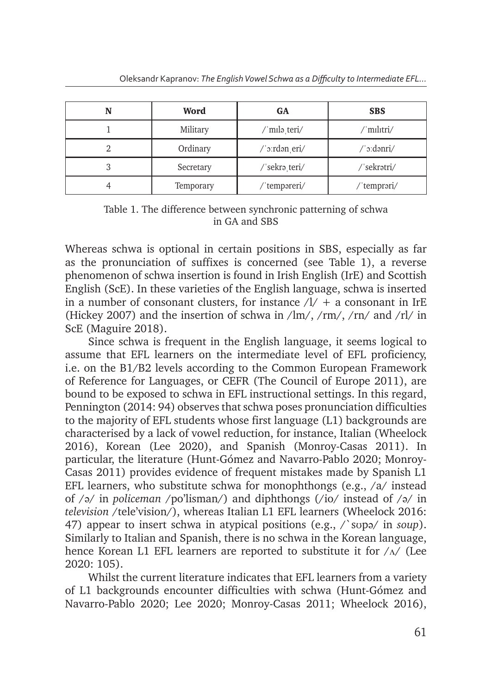| N | Word      | GA            | <b>SBS</b>  |
|---|-----------|---------------|-------------|
|   | Military  | /ˈmɪləˌteri/  | 'mılıtri/   |
|   | Ordinary  | /ˈɔːrdən eri/ | /ˈɔːdənri/  |
| 3 | Secretary | /'sekra_teri/ | /ˈsekrətri/ |
|   | Temporary | /ˈtempəreri/  | /ˈtemprəri/ |

#### Table 1. The difference between synchronic patterning of schwa in GA and SBS

Whereas schwa is optional in certain positions in SBS, especially as far as the pronunciation of suffixes is concerned (see Table 1), a reverse phenomenon of schwa insertion is found in Irish English (IrE) and Scottish English (ScE). In these varieties of the English language, schwa is inserted in a number of consonant clusters, for instance  $\lambda$  + a consonant in IrE (Hickey 2007) and the insertion of schwa in  $\frac{\text{Im}}{\text{Im}}$ ,  $\frac{\text{Im}}{\text{Im}}$ ,  $\frac{\text{Im}}{\text{Im}}$  and  $\frac{\text{Im}}{\text{Im}}$ ScE (Maguire 2018).

Since schwa is frequent in the English language, it seems logical to assume that EFL learners on the intermediate level of EFL proficiency, i.e. on the B1/B2 levels according to the Common European Framework of Reference for Languages, or CEFR (The Council of Europe 2011), are bound to be exposed to schwa in EFL instructional settings. In this regard, Pennington (2014: 94) observes that schwa poses pronunciation difficulties to the majority of EFL students whose first language (L1) backgrounds are characterised by a lack of vowel reduction, for instance, Italian (Wheelock 2016), Korean (Lee 2020), and Spanish (Monroy-Casas 2011). In particular, the literature (Hunt-Gómez and Navarro-Pablo 2020; Monroy-Casas 2011) provides evidence of frequent mistakes made by Spanish L1 EFL learners, who substitute schwa for monophthongs  $(e.g., /a/$  instead of /ə/ in *policeman* /po'lisman/) and diphthongs (/io/ instead of /ə/ in *television* /tele'vision/), whereas Italian L1 EFL learners (Wheelock 2016: 47) appear to insert schwa in atypical positions (e.g., /`sʊpə/ in *soup*). Similarly to Italian and Spanish, there is no schwa in the Korean language, hence Korean L1 EFL learners are reported to substitute it for  $/\Lambda$  (Lee 2020: 105).

Whilst the current literature indicates that EFL learners from a variety of L1 backgrounds encounter difficulties with schwa (Hunt-Gómez and Navarro-Pablo 2020; Lee 2020; Monroy-Casas 2011; Wheelock 2016),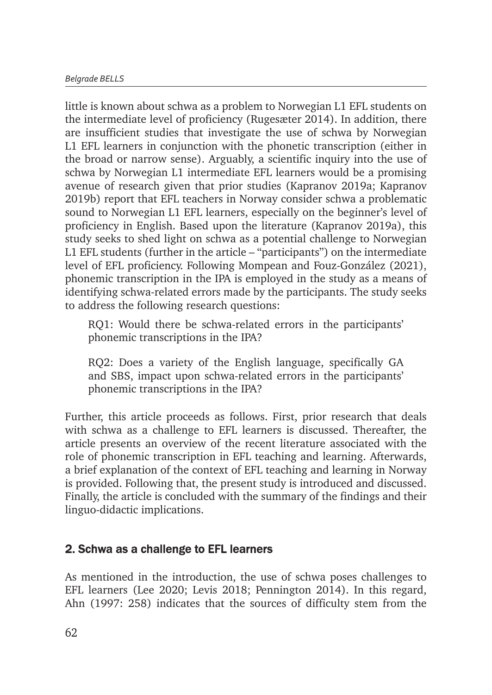little is known about schwa as a problem to Norwegian L1 EFL students on the intermediate level of proficiency (Rugesæter 2014). In addition, there are insufficient studies that investigate the use of schwa by Norwegian L1 EFL learners in conjunction with the phonetic transcription (either in the broad or narrow sense). Arguably, a scientific inquiry into the use of schwa by Norwegian L1 intermediate EFL learners would be a promising avenue of research given that prior studies (Kapranov 2019a; Kapranov 2019b) report that EFL teachers in Norway consider schwa a problematic sound to Norwegian L1 EFL learners, especially on the beginner's level of proficiency in English. Based upon the literature (Kapranov 2019a), this study seeks to shed light on schwa as a potential challenge to Norwegian L1 EFL students (further in the article – "participants") on the intermediate level of EFL proficiency. Following Mompean and Fouz-González (2021), phonemic transcription in the IPA is employed in the study as a means of identifying schwa-related errors made by the participants. The study seeks to address the following research questions:

RQ1: Would there be schwa-related errors in the participants' phonemic transcriptions in the IPA?

RQ2: Does a variety of the English language, specifically GA and SBS, impact upon schwa-related errors in the participants' phonemic transcriptions in the IPA?

Further, this article proceeds as follows. First, prior research that deals with schwa as a challenge to EFL learners is discussed. Thereafter, the article presents an overview of the recent literature associated with the role of phonemic transcription in EFL teaching and learning. Afterwards, a brief explanation of the context of EFL teaching and learning in Norway is provided. Following that, the present study is introduced and discussed. Finally, the article is concluded with the summary of the findings and their linguo-didactic implications.

# 2. Schwa as a challenge to EFL learners

As mentioned in the introduction, the use of schwa poses challenges to EFL learners (Lee 2020; Levis 2018; Pennington 2014). In this regard, Ahn (1997: 258) indicates that the sources of difficulty stem from the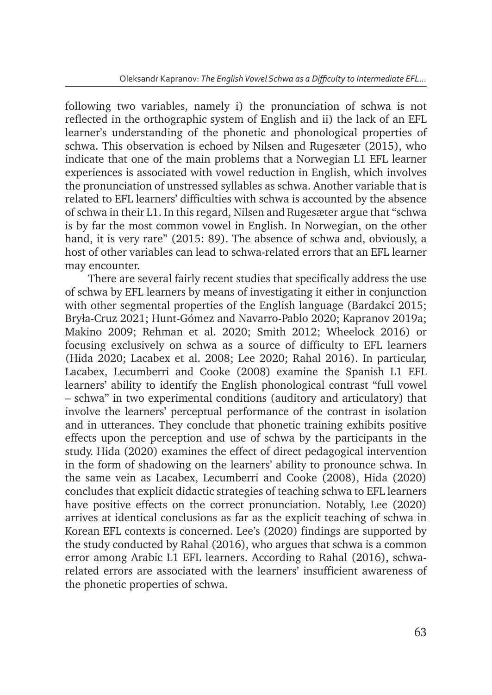following two variables, namely i) the pronunciation of schwa is not reflected in the orthographic system of English and ii) the lack of an EFL learner's understanding of the phonetic and phonological properties of schwa. This observation is echoed by Nilsen and Rugesæter (2015), who indicate that one of the main problems that a Norwegian L1 EFL learner experiences is associated with vowel reduction in English, which involves the pronunciation of unstressed syllables as schwa. Another variable that is related to EFL learners' difficulties with schwa is accounted by the absence of schwa in their L1. In this regard, Nilsen and Rugesæter argue that "schwa is by far the most common vowel in English. In Norwegian, on the other hand, it is very rare" (2015: 89). The absence of schwa and, obviously, a host of other variables can lead to schwa-related errors that an EFL learner may encounter.

There are several fairly recent studies that specifically address the use of schwa by EFL learners by means of investigating it either in conjunction with other segmental properties of the English language (Bardakci 2015; Bryła-Cruz 2021; Hunt-Gómez and Navarro-Pablo 2020; Kapranov 2019a; Makino 2009; Rehman et al. 2020; Smith 2012; Wheelock 2016) or focusing exclusively on schwa as a source of difficulty to EFL learners (Hida 2020; Lacabex et al. 2008; Lee 2020; Rahal 2016). In particular, Lacabex, Lecumberri and Cooke (2008) examine the Spanish L1 EFL learners' ability to identify the English phonological contrast "full vowel – schwa" in two experimental conditions (auditory and articulatory) that involve the learners' perceptual performance of the contrast in isolation and in utterances. They conclude that phonetic training exhibits positive effects upon the perception and use of schwa by the participants in the study. Hida (2020) examines the effect of direct pedagogical intervention in the form of shadowing on the learners' ability to pronounce schwa. In the same vein as Lacabex, Lecumberri and Cooke (2008), Hida (2020) concludes that explicit didactic strategies of teaching schwa to EFL learners have positive effects on the correct pronunciation. Notably, Lee (2020) arrives at identical conclusions as far as the explicit teaching of schwa in Korean EFL contexts is concerned. Lee's (2020) findings are supported by the study conducted by Rahal (2016), who argues that schwa is a common error among Arabic L1 EFL learners. According to Rahal (2016), schwarelated errors are associated with the learners' insufficient awareness of the phonetic properties of schwa.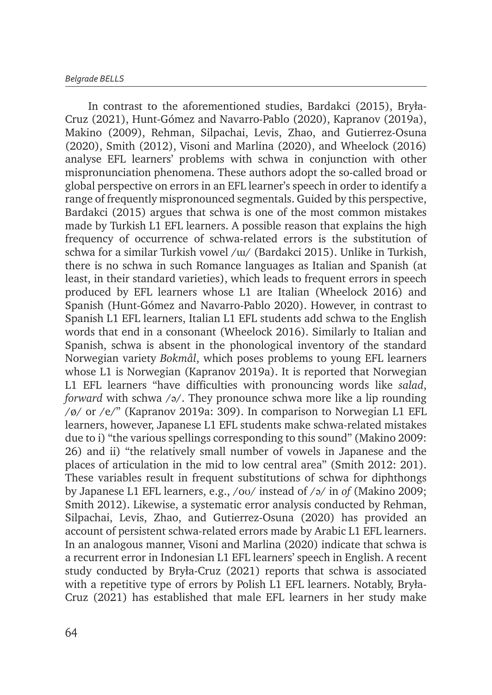In contrast to the aforementioned studies, Bardakci (2015), Bryła-Cruz (2021), Hunt-Gómez and Navarro-Pablo (2020), Kapranov (2019a), Makino (2009), Rehman, Silpachai, Levis, Zhao, and Gutierrez-Osuna (2020), Smith (2012), Visoni and Marlina (2020), and Wheelock (2016) analyse EFL learners' problems with schwa in conjunction with other mispronunciation phenomena. These authors adopt the so-called broad or global perspective on errors in an EFL learner's speech in order to identify a range of frequently mispronounced segmentals. Guided by this perspective, Bardakci (2015) argues that schwa is one of the most common mistakes made by Turkish L1 EFL learners. A possible reason that explains the high frequency of occurrence of schwa-related errors is the substitution of schwa for a similar Turkish vowel /ɯ/ (Bardakci 2015). Unlike in Turkish, there is no schwa in such Romance languages as Italian and Spanish (at least, in their standard varieties), which leads to frequent errors in speech produced by EFL learners whose L1 are Italian (Wheelock 2016) and Spanish (Hunt-Gómez and Navarro-Pablo 2020). However, in contrast to Spanish L1 EFL learners, Italian L1 EFL students add schwa to the English words that end in a consonant (Wheelock 2016). Similarly to Italian and Spanish, schwa is absent in the phonological inventory of the standard Norwegian variety *Bokmål*, which poses problems to young EFL learners whose L1 is Norwegian (Kapranov 2019a). It is reported that Norwegian L1 EFL learners "have difficulties with pronouncing words like *salad*, *forward* with schwa /ə/. They pronounce schwa more like a lip rounding /ø/ or /e/" (Kapranov 2019a: 309). In comparison to Norwegian L1 EFL learners, however, Japanese L1 EFL students make schwa-related mistakes due to i) "the various spellings corresponding to this sound" (Makino 2009: 26) and ii) "the relatively small number of vowels in Japanese and the places of articulation in the mid to low central area" (Smith 2012: 201). These variables result in frequent substitutions of schwa for diphthongs by Japanese L1 EFL learners, e.g., /oʊ/ instead of /ə/ in *of* (Makino 2009; Smith 2012). Likewise, a systematic error analysis conducted by Rehman, Silpachai, Levis, Zhao, and Gutierrez-Osuna (2020) has provided an account of persistent schwa-related errors made by Arabic L1 EFL learners. In an analogous manner, Visoni and Marlina (2020) indicate that schwa is a recurrent error in Indonesian L1 EFL learners' speech in English. A recent study conducted by Bryła-Cruz (2021) reports that schwa is associated with a repetitive type of errors by Polish L1 EFL learners. Notably, Bryła-Cruz (2021) has established that male EFL learners in her study make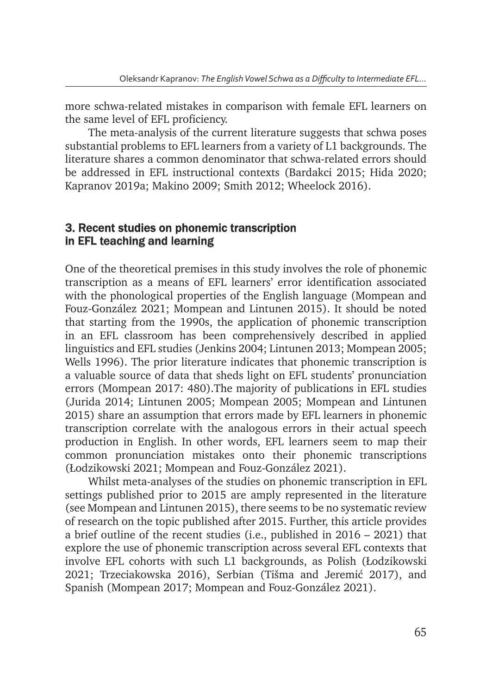more schwa-related mistakes in comparison with female EFL learners on the same level of EFL proficiency.

The meta-analysis of the current literature suggests that schwa poses substantial problems to EFL learners from a variety of L1 backgrounds. The literature shares a common denominator that schwa-related errors should be addressed in EFL instructional contexts (Bardakci 2015; Hida 2020; Kapranov 2019a; Makino 2009; Smith 2012; Wheelock 2016).

## 3. Recent studies on phonemic transcription in EFL teaching and learning

One of the theoretical premises in this study involves the role of phonemic transcription as a means of EFL learners' error identification associated with the phonological properties of the English language (Mompean and Fouz-González 2021; Mompean and Lintunen 2015). It should be noted that starting from the 1990s, the application of phonemic transcription in an EFL classroom has been comprehensively described in applied linguistics and EFL studies (Jenkins 2004; Lintunen 2013; Mompean 2005; Wells 1996). The prior literature indicates that phonemic transcription is a valuable source of data that sheds light on EFL students' pronunciation errors (Mompean 2017: 480).The majority of publications in EFL studies (Jurida 2014; Lintunen 2005; Mompean 2005; Mompean and Lintunen 2015) share an assumption that errors made by EFL learners in phonemic transcription correlate with the analogous errors in their actual speech production in English. In other words, EFL learners seem to map their common pronunciation mistakes onto their phonemic transcriptions (Łodzikowski 2021; Mompean and Fouz-González 2021).

Whilst meta-analyses of the studies on phonemic transcription in EFL settings published prior to 2015 are amply represented in the literature (see Mompean and Lintunen 2015), there seems to be no systematic review of research on the topic published after 2015. Further, this article provides a brief outline of the recent studies (i.e., published in 2016 – 2021) that explore the use of phonemic transcription across several EFL contexts that involve EFL cohorts with such L1 backgrounds, as Polish (Łodzikowski 2021; Trzeciakowska 2016), Serbian (Tišma and Jeremić 2017), and Spanish (Mompean 2017; Mompean and Fouz-González 2021).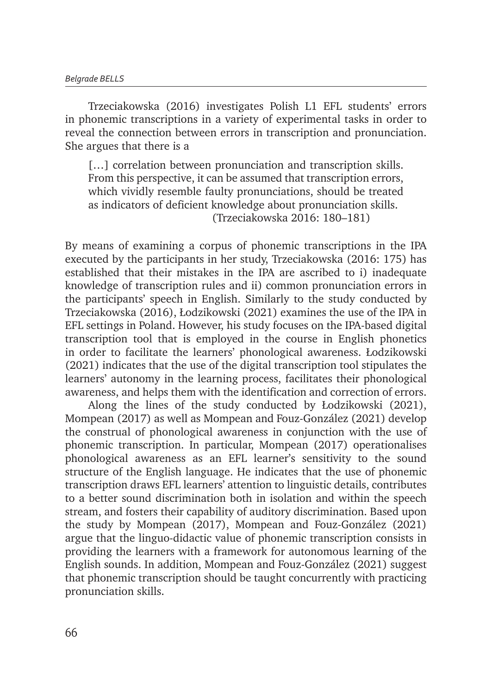Trzeciakowska (2016) investigates Polish L1 EFL students' errors in phonemic transcriptions in a variety of experimental tasks in order to reveal the connection between errors in transcription and pronunciation. She argues that there is a

[...] correlation between pronunciation and transcription skills. From this perspective, it can be assumed that transcription errors, which vividly resemble faulty pronunciations, should be treated as indicators of deficient knowledge about pronunciation skills. (Trzeciakowska 2016: 180–181)

By means of examining a corpus of phonemic transcriptions in the IPA executed by the participants in her study, Trzeciakowska (2016: 175) has established that their mistakes in the IPA are ascribed to i) inadequate knowledge of transcription rules and ii) common pronunciation errors in the participants' speech in English. Similarly to the study conducted by Trzeciakowska (2016), Łodzikowski (2021) examines the use of the IPA in EFL settings in Poland. However, his study focuses on the IPA-based digital transcription tool that is employed in the course in English phonetics in order to facilitate the learners' phonological awareness. Łodzikowski (2021) indicates that the use of the digital transcription tool stipulates the learners' autonomy in the learning process, facilitates their phonological awareness, and helps them with the identification and correction of errors.

Along the lines of the study conducted by Łodzikowski (2021), Mompean (2017) as well as Mompean and Fouz-González (2021) develop the construal of phonological awareness in conjunction with the use of phonemic transcription. In particular, Mompean (2017) operationalises phonological awareness as an EFL learner's sensitivity to the sound structure of the English language. He indicates that the use of phonemic transcription draws EFL learners' attention to linguistic details, contributes to a better sound discrimination both in isolation and within the speech stream, and fosters their capability of auditory discrimination. Based upon the study by Mompean (2017), Mompean and Fouz-González (2021) argue that the linguo-didactic value of phonemic transcription consists in providing the learners with a framework for autonomous learning of the English sounds. In addition, Mompean and Fouz-González (2021) suggest that phonemic transcription should be taught concurrently with practicing pronunciation skills.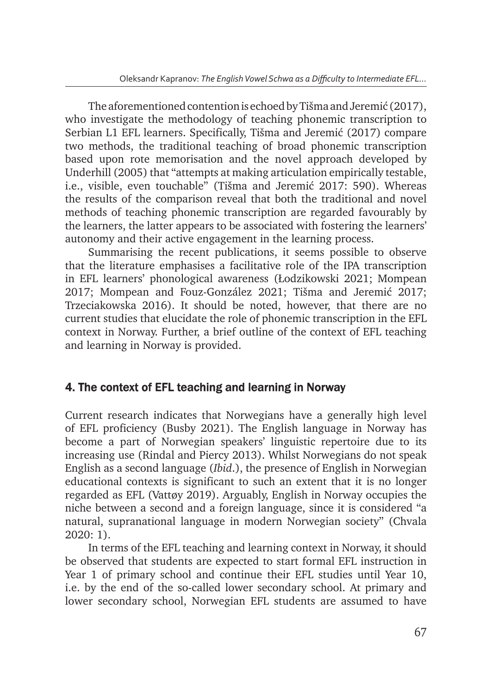The aforementioned contention is echoed by Tišma and Jeremić (2017), who investigate the methodology of teaching phonemic transcription to Serbian L1 EFL learners. Specifically, Tišma and Jeremić (2017) compare two methods, the traditional teaching of broad phonemic transcription based upon rote memorisation and the novel approach developed by Underhill (2005) that "attempts at making articulation empirically testable, i.e., visible, even touchable" (Tišma and Jeremić 2017: 590). Whereas the results of the comparison reveal that both the traditional and novel methods of teaching phonemic transcription are regarded favourably by the learners, the latter appears to be associated with fostering the learners' autonomy and their active engagement in the learning process.

Summarising the recent publications, it seems possible to observe that the literature emphasises a facilitative role of the IPA transcription in EFL learners' phonological awareness (Łodzikowski 2021; Mompean 2017; Mompean and Fouz-González 2021; Tišma and Jeremić 2017; Trzeciakowska 2016). It should be noted, however, that there are no current studies that elucidate the role of phonemic transcription in the EFL context in Norway. Further, a brief outline of the context of EFL teaching and learning in Norway is provided.

# 4. The context of EFL teaching and learning in Norway

Current research indicates that Norwegians have a generally high level of EFL proficiency (Busby 2021). The English language in Norway has become a part of Norwegian speakers' linguistic repertoire due to its increasing use (Rindal and Piercy 2013). Whilst Norwegians do not speak English as a second language (*Ibid*.), the presence of English in Norwegian educational contexts is significant to such an extent that it is no longer regarded as EFL (Vattøy 2019). Arguably, English in Norway occupies the niche between a second and a foreign language, since it is considered "a natural, supranational language in modern Norwegian society" (Chvala 2020: 1).

In terms of the EFL teaching and learning context in Norway, it should be observed that students are expected to start formal EFL instruction in Year 1 of primary school and continue their EFL studies until Year 10, i.e. by the end of the so-called lower secondary school. At primary and lower secondary school, Norwegian EFL students are assumed to have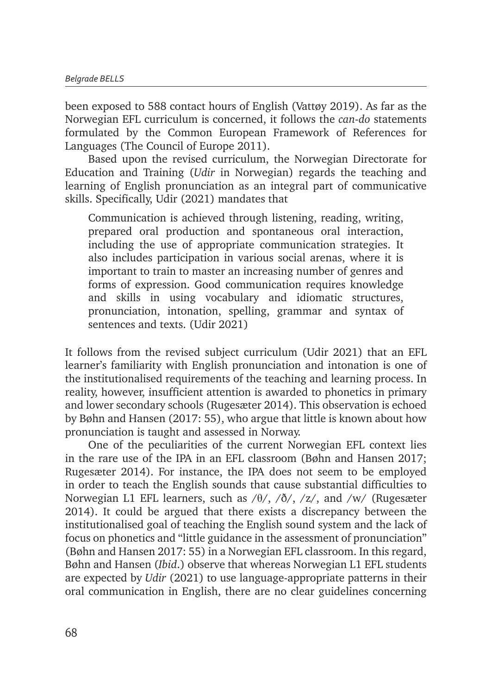been exposed to 588 contact hours of English (Vattøy 2019). As far as the Norwegian EFL curriculum is concerned, it follows the *can-do* statements formulated by the Common European Framework of References for Languages (The Council of Europe 2011).

Based upon the revised curriculum, the Norwegian Directorate for Education and Training (*Udir* in Norwegian) regards the teaching and learning of English pronunciation as an integral part of communicative skills. Specifically, Udir (2021) mandates that

Communication is achieved through listening, reading, writing, prepared oral production and spontaneous oral interaction, including the use of appropriate communication strategies. It also includes participation in various social arenas, where it is important to train to master an increasing number of genres and forms of expression. Good communication requires knowledge and skills in using vocabulary and idiomatic structures, pronunciation, intonation, spelling, grammar and syntax of sentences and texts. (Udir 2021)

It follows from the revised subject curriculum (Udir 2021) that an EFL learner's familiarity with English pronunciation and intonation is one of the institutionalised requirements of the teaching and learning process. In reality, however, insufficient attention is awarded to phonetics in primary and lower secondary schools (Rugesæter 2014). This observation is echoed by Bøhn and Hansen (2017: 55), who argue that little is known about how pronunciation is taught and assessed in Norway.

One of the peculiarities of the current Norwegian EFL context lies in the rare use of the IPA in an EFL classroom (Bøhn and Hansen 2017; Rugesæter 2014). For instance, the IPA does not seem to be employed in order to teach the English sounds that cause substantial difficulties to Norwegian L1 EFL learners, such as  $/\theta$ ,  $/\delta$ ,  $/z$ , and  $/w$  (Rugesæter 2014). It could be argued that there exists a discrepancy between the institutionalised goal of teaching the English sound system and the lack of focus on phonetics and "little guidance in the assessment of pronunciation" (Bøhn and Hansen 2017: 55) in a Norwegian EFL classroom. In this regard, Bøhn and Hansen (*Ibid*.) observe that whereas Norwegian L1 EFL students are expected by *Udir* (2021) to use language-appropriate patterns in their oral communication in English, there are no clear guidelines concerning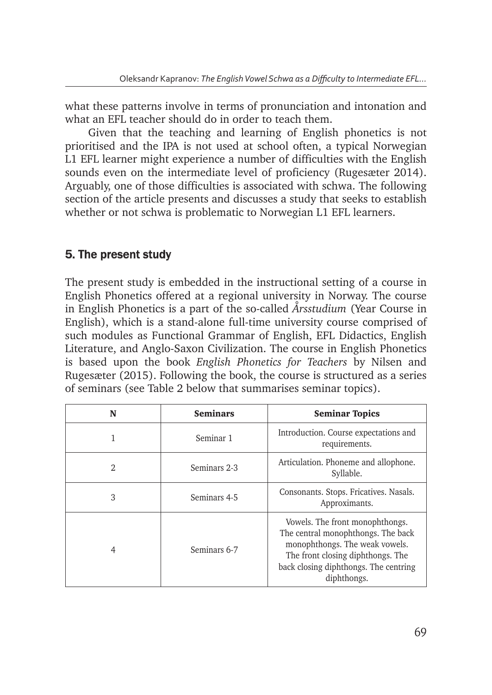what these patterns involve in terms of pronunciation and intonation and what an EFL teacher should do in order to teach them.

Given that the teaching and learning of English phonetics is not prioritised and the IPA is not used at school often, a typical Norwegian L1 EFL learner might experience a number of difficulties with the English sounds even on the intermediate level of proficiency (Rugesæter 2014). Arguably, one of those difficulties is associated with schwa. The following section of the article presents and discusses a study that seeks to establish whether or not schwa is problematic to Norwegian L1 EFL learners.

# 5. The present study

The present study is embedded in the instructional setting of a course in English Phonetics offered at a regional university in Norway. The course in English Phonetics is a part of the so-called *Årsstudium* (Year Course in English), which is a stand-alone full-time university course comprised of such modules as Functional Grammar of English, EFL Didactics, English Literature, and Anglo-Saxon Civilization. The course in English Phonetics is based upon the book *English Phonetics for Teachers* by Nilsen and Rugesæter (2015). Following the book, the course is structured as a series of seminars (see Table 2 below that summarises seminar topics).

| N | <b>Seminars</b> | <b>Seminar Topics</b>                                                                                                                                                                                |
|---|-----------------|------------------------------------------------------------------------------------------------------------------------------------------------------------------------------------------------------|
|   | Seminar 1       | Introduction. Course expectations and<br>requirements.                                                                                                                                               |
| 2 | Seminars 2-3    | Articulation. Phoneme and allophone.<br>Syllable.                                                                                                                                                    |
| 3 | Seminars 4-5    | Consonants. Stops. Fricatives. Nasals.<br>Approximants.                                                                                                                                              |
|   | Seminars 6-7    | Vowels. The front monophthongs.<br>The central monophthongs. The back<br>monophthongs. The weak vowels.<br>The front closing diphthongs. The<br>back closing diphthongs. The centring<br>diphthongs. |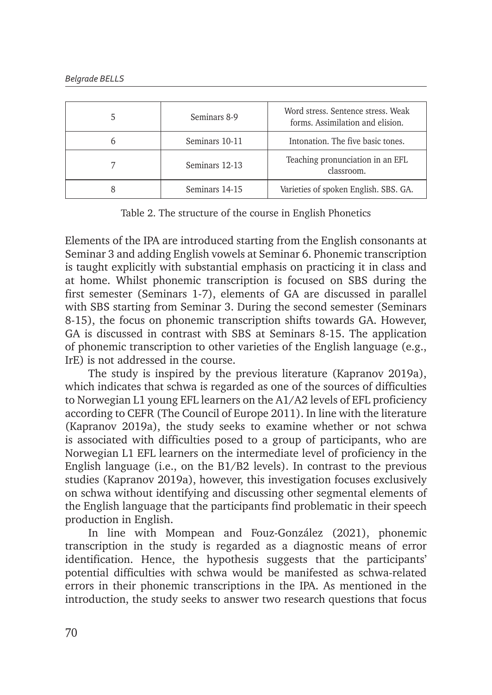| Seminars 8-9   | Word stress. Sentence stress. Weak<br>forms. Assimilation and elision. |
|----------------|------------------------------------------------------------------------|
| Seminars 10-11 | Intonation. The five basic tones.                                      |
| Seminars 12-13 | Teaching pronunciation in an EFL<br>classroom.                         |
| Seminars 14-15 | Varieties of spoken English. SBS. GA.                                  |

Table 2. The structure of the course in English Phonetics

Elements of the IPA are introduced starting from the English consonants at Seminar 3 and adding English vowels at Seminar 6. Phonemic transcription is taught explicitly with substantial emphasis on practicing it in class and at home. Whilst phonemic transcription is focused on SBS during the first semester (Seminars 1-7), elements of GA are discussed in parallel with SBS starting from Seminar 3. During the second semester (Seminars 8-15), the focus on phonemic transcription shifts towards GA. However, GA is discussed in contrast with SBS at Seminars 8-15. The application of phonemic transcription to other varieties of the English language (e.g., IrE) is not addressed in the course.

The study is inspired by the previous literature (Kapranov 2019a), which indicates that schwa is regarded as one of the sources of difficulties to Norwegian L1 young EFL learners on the A1/A2 levels of EFL proficiency according to CEFR (The Council of Europe 2011). In line with the literature (Kapranov 2019a), the study seeks to examine whether or not schwa is associated with difficulties posed to a group of participants, who are Norwegian L1 EFL learners on the intermediate level of proficiency in the English language (i.e., on the  $B1/B2$  levels). In contrast to the previous studies (Kapranov 2019a), however, this investigation focuses exclusively on schwa without identifying and discussing other segmental elements of the English language that the participants find problematic in their speech production in English.

In line with Mompean and Fouz-González (2021), phonemic transcription in the study is regarded as a diagnostic means of error identification. Hence, the hypothesis suggests that the participants' potential difficulties with schwa would be manifested as schwa-related errors in their phonemic transcriptions in the IPA. As mentioned in the introduction, the study seeks to answer two research questions that focus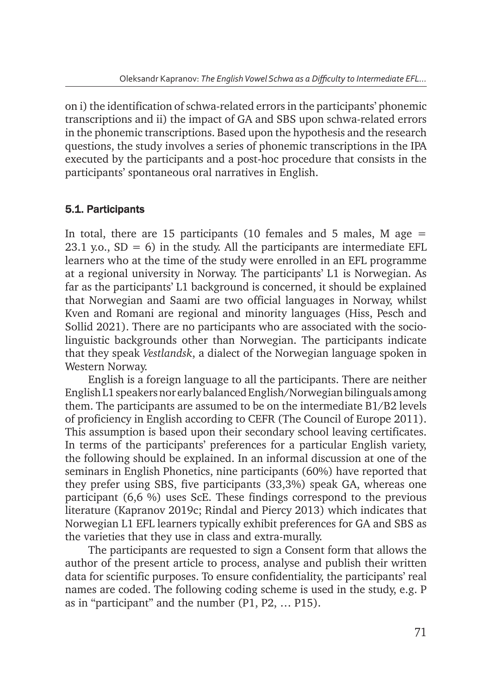on i) the identification of schwa-related errors in the participants' phonemic transcriptions and ii) the impact of GA and SBS upon schwa-related errors in the phonemic transcriptions. Based upon the hypothesis and the research questions, the study involves a series of phonemic transcriptions in the IPA executed by the participants and a post-hoc procedure that consists in the participants' spontaneous oral narratives in English.

### 5.1. Participants

In total, there are 15 participants (10 females and 5 males, M age  $=$ 23.1 y.o.,  $SD = 6$ ) in the study. All the participants are intermediate EFL learners who at the time of the study were enrolled in an EFL programme at a regional university in Norway. The participants' L1 is Norwegian. As far as the participants' L1 background is concerned, it should be explained that Norwegian and Saami are two official languages in Norway, whilst Kven and Romani are regional and minority languages (Hiss, Pesch and Sollid 2021). There are no participants who are associated with the sociolinguistic backgrounds other than Norwegian. The participants indicate that they speak *Vestlandsk*, a dialect of the Norwegian language spoken in Western Norway.

English is a foreign language to all the participants. There are neither English L1 speakers nor early balanced English/Norwegian bilinguals among them. The participants are assumed to be on the intermediate B1/B2 levels of proficiency in English according to CEFR (The Council of Europe 2011). This assumption is based upon their secondary school leaving certificates. In terms of the participants' preferences for a particular English variety, the following should be explained. In an informal discussion at one of the seminars in English Phonetics, nine participants (60%) have reported that they prefer using SBS, five participants (33,3%) speak GA, whereas one participant (6,6 %) uses ScE. These findings correspond to the previous literature (Kapranov 2019c; Rindal and Piercy 2013) which indicates that Norwegian L1 EFL learners typically exhibit preferences for GA and SBS as the varieties that they use in class and extra-murally.

The participants are requested to sign a Consent form that allows the author of the present article to process, analyse and publish their written data for scientific purposes. To ensure confidentiality, the participants' real names are coded. The following coding scheme is used in the study, e.g. P as in "participant" and the number (P1, P2, … P15).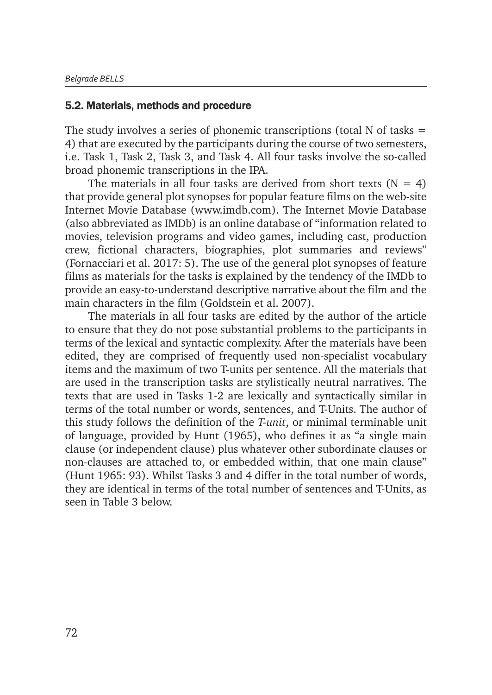#### 5.2. Materials, methods and procedure

The study involves a series of phonemic transcriptions (total  $N$  of tasks  $=$ 4) that are executed by the participants during the course of two semesters, i.e. Task 1, Task 2, Task 3, and Task 4. All four tasks involve the so-called broad phonemic transcriptions in the IPA.

The materials in all four tasks are derived from short texts  $(N = 4)$ that provide general plot synopses for popular feature films on the web-site Internet Movie Database (www.imdb.com). The Internet Movie Database (also abbreviated as IMDb) is an online database of "information related to movies, television programs and video games, including cast, production crew, fictional characters, biographies, plot summaries and reviews" (Fornacciari et al. 2017: 5). The use of the general plot synopses of feature films as materials for the tasks is explained by the tendency of the IMDb to provide an easy-to-understand descriptive narrative about the film and the main characters in the film (Goldstein et al. 2007).

The materials in all four tasks are edited by the author of the article to ensure that they do not pose substantial problems to the participants in terms of the lexical and syntactic complexity. After the materials have been edited, they are comprised of frequently used non-specialist vocabulary items and the maximum of two T-units per sentence. All the materials that are used in the transcription tasks are stylistically neutral narratives. The texts that are used in Tasks 1-2 are lexically and syntactically similar in terms of the total number or words, sentences, and T-Units. The author of this study follows the definition of the *T-unit*, or minimal terminable unit of language, provided by Hunt (1965), who defines it as "a single main clause (or independent clause) plus whatever other subordinate clauses or non-clauses are attached to, or embedded within, that one main clause" (Hunt 1965: 93). Whilst Tasks 3 and 4 differ in the total number of words, they are identical in terms of the total number of sentences and T-Units, as seen in Table 3 below.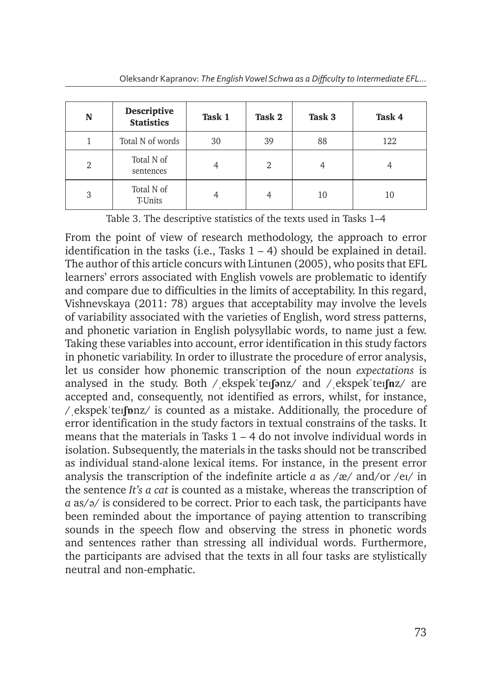| N | <b>Descriptive</b><br><b>Statistics</b> | Task 1 | Task 2 | Task 3 | Task 4 |
|---|-----------------------------------------|--------|--------|--------|--------|
|   | Total N of words                        | 30     | 39     | 88     | 122    |
| 2 | Total N of<br>sentences                 |        | 2      |        |        |
| 3 | Total N of<br>T-Units                   |        | 4      | 10     | 10     |

Table 3. The descriptive statistics of the texts used in Tasks 1–4

From the point of view of research methodology, the approach to error identification in the tasks (i.e., Tasks  $1 - 4$ ) should be explained in detail. The author of this article concurs with Lintunen (2005), who posits that EFL learners' errors associated with English vowels are problematic to identify and compare due to difficulties in the limits of acceptability. In this regard, Vishnevskaya (2011: 78) argues that acceptability may involve the levels of variability associated with the varieties of English, word stress patterns, and phonetic variation in English polysyllabic words, to name just a few. Taking these variables into account, error identification in this study factors in phonetic variability. In order to illustrate the procedure of error analysis, let us consider how phonemic transcription of the noun *expectations* is analysed in the study. Both /ˌekspekˈteɪ**ʃə**nz/ and /ˌekspekˈteɪ**ʃn**z/ are accepted and, consequently, not identified as errors, whilst, for instance, /ˌekspekˈteɪ**ʃɒ**nz/ is counted as a mistake. Additionally, the procedure of error identification in the study factors in textual constrains of the tasks. It means that the materials in Tasks  $1 - 4$  do not involve individual words in isolation. Subsequently, the materials in the tasks should not be transcribed as individual stand-alone lexical items. For instance, in the present error analysis the transcription of the indefinite article *a* as /æ/ and/or /eɪ/ in the sentence *It's a cat* is counted as a mistake, whereas the transcription of *a* as/ə/ is considered to be correct. Prior to each task, the participants have been reminded about the importance of paying attention to transcribing sounds in the speech flow and observing the stress in phonetic words and sentences rather than stressing all individual words. Furthermore, the participants are advised that the texts in all four tasks are stylistically neutral and non-emphatic.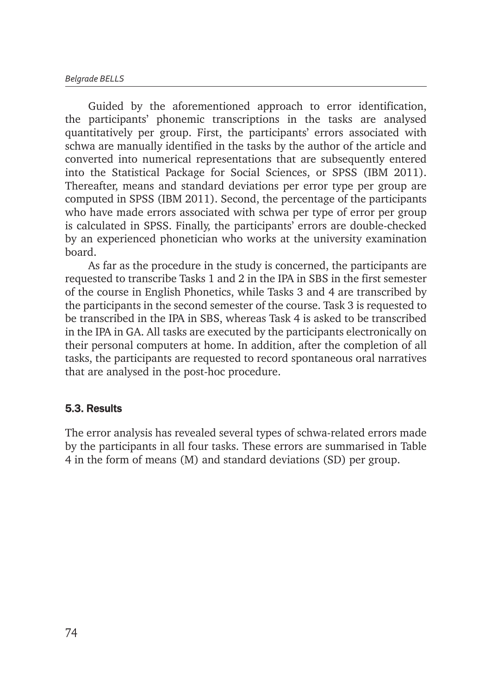Guided by the aforementioned approach to error identification, the participants' phonemic transcriptions in the tasks are analysed quantitatively per group. First, the participants' errors associated with schwa are manually identified in the tasks by the author of the article and converted into numerical representations that are subsequently entered into the Statistical Package for Social Sciences, or SPSS (IBM 2011). Thereafter, means and standard deviations per error type per group are computed in SPSS (IBM 2011). Second, the percentage of the participants who have made errors associated with schwa per type of error per group is calculated in SPSS. Finally, the participants' errors are double-checked by an experienced phonetician who works at the university examination board.

As far as the procedure in the study is concerned, the participants are requested to transcribe Tasks 1 and 2 in the IPA in SBS in the first semester of the course in English Phonetics, while Tasks 3 and 4 are transcribed by the participants in the second semester of the course. Task 3 is requested to be transcribed in the IPA in SBS, whereas Task 4 is asked to be transcribed in the IPA in GA. All tasks are executed by the participants electronically on their personal computers at home. In addition, after the completion of all tasks, the participants are requested to record spontaneous oral narratives that are analysed in the post-hoc procedure.

### 5.3. Results

The error analysis has revealed several types of schwa-related errors made by the participants in all four tasks. These errors are summarised in Table 4 in the form of means (M) and standard deviations (SD) per group.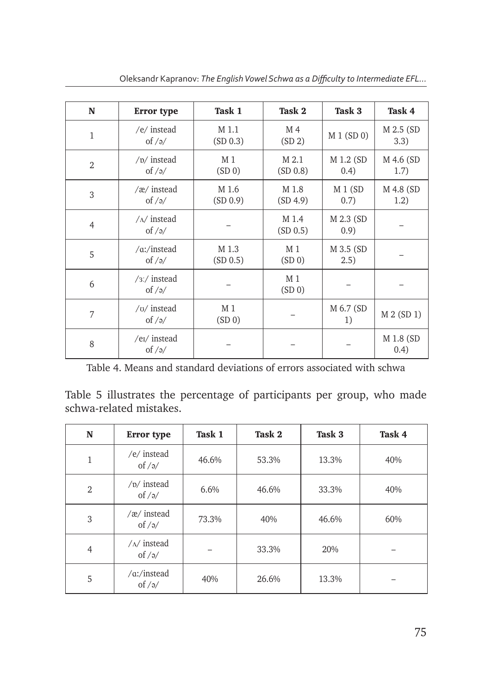| N              | <b>Error</b> type                             | Task 1            | Task 2                               | Task 3              | Task 4             |
|----------------|-----------------------------------------------|-------------------|--------------------------------------|---------------------|--------------------|
| $\mathbf{1}$   | /e/ instead<br>of $/a$                        | M 1.1<br>(SD 0.3) | M 4<br>(SD 2)                        | M 1 (SD 0)          | M 2.5 (SD)<br>3.3) |
| $\overline{2}$ | $/p/$ instead<br>of $\frac{1}{2}$             | M 1<br>(SD 0)     | M 2.1<br>(SD 0.8)                    | M 1.2 (SD)<br>(0.4) | M 4.6 (SD<br>1.7)  |
| 3              | /æ/ instead<br>of $/9/$                       | M 1.6<br>(SD 0.9) | M 1.8<br>(SD 4.9)                    | $M_1(SD)$<br>0.7)   | M 4.8 (SD<br>1.2)  |
| $\overline{4}$ | $/\Lambda$ instead<br>of $\frac{1}{2}$        |                   | M 1.4<br>(SD 0.5)                    | M 2.3 (SD)<br>(0.9) |                    |
| 5              | $\alpha$ :/instead<br>of $/9/$                | M 1.3<br>(SD 0.5) | M <sub>1</sub><br>(SD 0)             | M 3.5 (SD<br>(2.5)  |                    |
| 6              | $\frac{1}{3}$ / instead<br>of $/9/$           |                   | M <sub>1</sub><br>(SD <sub>0</sub> ) |                     |                    |
| 7              | $/v/$ instead<br>of $\frac{1}{2}$             | M 1<br>(SD 0)     |                                      | M 6.7 (SD<br>1)     | M 2 (SD 1)         |
| 8              | /e <sub>I</sub> / instead<br>of $\frac{1}{2}$ |                   |                                      |                     | M 1.8 (SD<br>(0.4) |

Oleksandr Kapranov: *The English Vowel Schwa as a Difficulty to Intermediate EFL...*

Table 4. Means and standard deviations of errors associated with schwa

Table 5 illustrates the percentage of participants per group, who made schwa-related mistakes.

| N              | <b>Error</b> type                  | Task 1 | Task 2 | Task 3 | Task 4 |
|----------------|------------------------------------|--------|--------|--------|--------|
| 1              | /e/ instead<br>of $/9/$            | 46.6%  | 53.3%  | 13.3%  | 40%    |
| $\overline{2}$ | $/p/$ instead<br>of $/9/$          | 6.6%   | 46.6%  | 33.3%  | 40%    |
| 3              | /æ/ instead<br>of $/\gamma$        | 73.3%  | 40%    | 46.6%  | 60%    |
| $\overline{4}$ | $/\Lambda$ / instead<br>of $/9/$   |        | 33.3%  | 20%    |        |
| 5              | $\alpha$ :/instead<br>of $/\gamma$ | 40%    | 26.6%  | 13.3%  |        |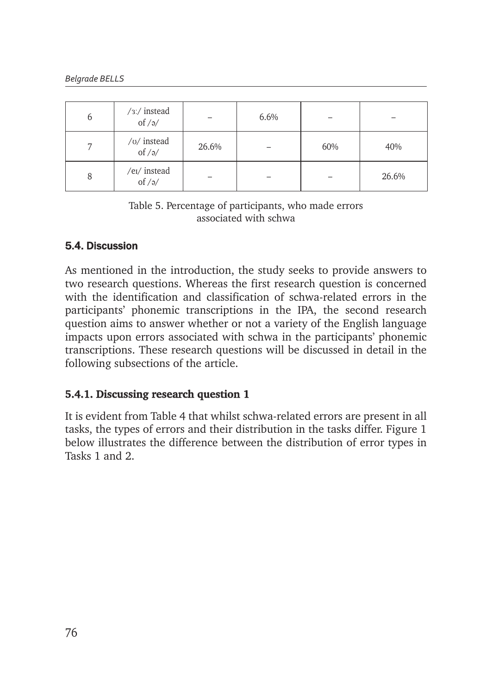| 6 | /3:/ instead of /ə/              |       | 6.6% |     |       |
|---|----------------------------------|-------|------|-----|-------|
| ⇁ | /o/ instead of /ə/               | 26.6% |      | 60% | 40%   |
| 8 | /e <sub>I</sub> / instead of /ə/ |       |      |     | 26.6% |

Table 5. Percentage of participants, who made errors associated with schwa

# 5.4. Discussion

As mentioned in the introduction, the study seeks to provide answers to two research questions. Whereas the first research question is concerned with the identification and classification of schwa-related errors in the participants' phonemic transcriptions in the IPA, the second research question aims to answer whether or not a variety of the English language impacts upon errors associated with schwa in the participants' phonemic transcriptions. These research questions will be discussed in detail in the following subsections of the article.

### **5.4.1. Discussing research question 1**

It is evident from Table 4 that whilst schwa-related errors are present in all tasks, the types of errors and their distribution in the tasks differ. Figure 1 below illustrates the difference between the distribution of error types in Tasks 1 and 2.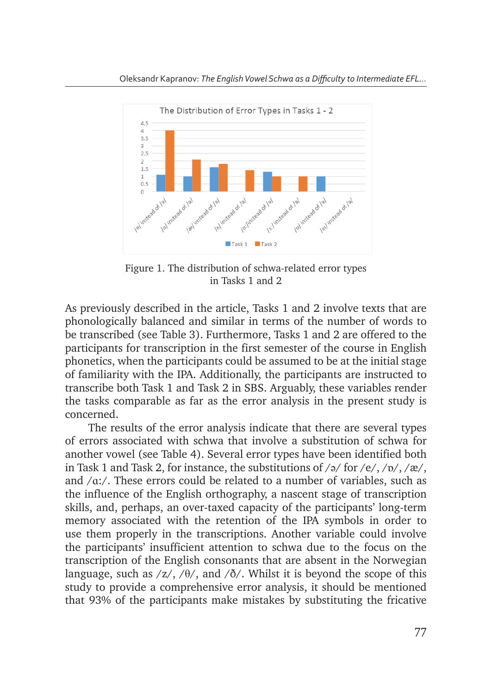

Figure 1. The distribution of schwa-related error types in Tasks 1 and 2

As previously described in the article, Tasks 1 and 2 involve texts that are phonologically balanced and similar in terms of the number of words to be transcribed (see Table 3). Furthermore, Tasks 1 and 2 are offered to the  $\frac{1}{2}$  countermode (see Table 8). The intermode, hashed 1 and 2 are only as an expected to the participants for transcription in the first semester of the course in English .<br>phonetics, when the participants could be assumed to be at the initial stage of familiarity with the IPA. Additionally, the participants are instructed to transcribe both Task 1 and Task 2 in SBS. Arguably, these variables render the tasks comparable as far as the error analysis in the present study is concerned.

The results of the error analysis indicate that there are several types of errors associated with schwa that involve a substitution of schwa for of criors associated with senwa that involve a sabstitution of senwa for another vowel (see Table 4). Several error types have been identified both in Task 1 and Task 2, for instance, the substitutions of /ə/ for /e/, /ɒ/, /æ/, and  $/\alpha$ :/. These errors could be related to a number of variables, such as the influence of the English orthography, a nascent stage of transcription skills, and, perhaps, an over-taxed capacity of the participants' long-term memory associated with the retention of the IPA symbols in order to use them properly in the transcriptions. Another variable could involve the participants' insufficient attention to schwa due to the focus on the transcription of the English consonants that are absent in the Norwegian language, such as  $\frac{z}{\sqrt{6}}$ ,  $\frac{d}{\sqrt{6}}$ . Whilst it is beyond the scope of this study to provide a comprehensive error analysis, it should be mentioned that 93% of the participants make mistakes by substituting the fricative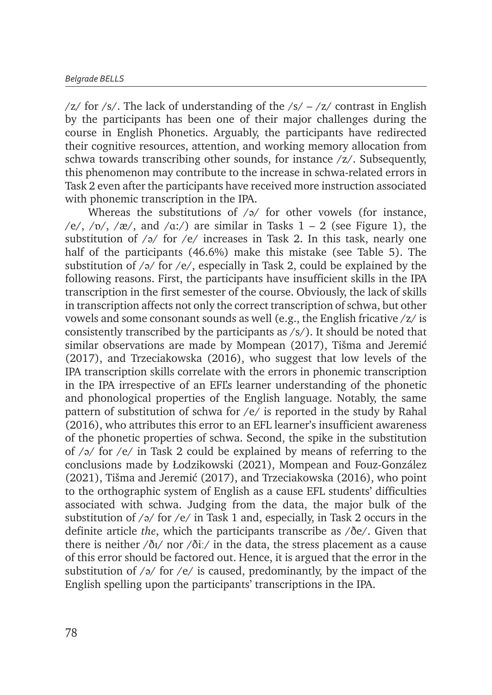/z/ for /s/. The lack of understanding of the  $\frac{s}{-}$  /z/ contrast in English by the participants has been one of their major challenges during the course in English Phonetics. Arguably, the participants have redirected their cognitive resources, attention, and working memory allocation from schwa towards transcribing other sounds, for instance  $\ell z$ . Subsequently, this phenomenon may contribute to the increase in schwa-related errors in Task 2 even after the participants have received more instruction associated with phonemic transcription in the IPA.

Whereas the substitutions of  $\sqrt{2}$  for other vowels (for instance, /e/, / $\nu$ /, / $\alpha$ /, and / $\alpha$ :/) are similar in Tasks 1 – 2 (see Figure 1), the substitution of  $\sqrt{2}$  for  $\sqrt{e}$  increases in Task 2. In this task, nearly one half of the participants (46.6%) make this mistake (see Table 5). The substitution of  $\sqrt{\frac{9}{\pi}}$  for  $\sqrt{\frac{e}{\pi}}$ , especially in Task 2, could be explained by the following reasons. First, the participants have insufficient skills in the IPA transcription in the first semester of the course. Obviously, the lack of skills in transcription affects not only the correct transcription of schwa, but other vowels and some consonant sounds as well (e.g., the English fricative /z/ is consistently transcribed by the participants as  $\langle s \rangle$ . It should be noted that similar observations are made by Mompean (2017), Tišma and Jeremić (2017), and Trzeciakowska (2016), who suggest that low levels of the IPA transcription skills correlate with the errors in phonemic transcription in the IPA irrespective of an EFL's learner understanding of the phonetic and phonological properties of the English language. Notably, the same pattern of substitution of schwa for /e/ is reported in the study by Rahal (2016), who attributes this error to an EFL learner's insufficient awareness of the phonetic properties of schwa. Second, the spike in the substitution of  $\sqrt{\frac{9}{}}$  for  $\sqrt{\frac{e}{\pi}}$  in Task 2 could be explained by means of referring to the conclusions made by Łodzikowski (2021), Mompean and Fouz-González (2021), Tišma and Jeremić (2017), and Trzeciakowska (2016), who point to the orthographic system of English as a cause EFL students' difficulties associated with schwa. Judging from the data, the major bulk of the substitution of  $\sqrt{2}$  for  $\sqrt{e}$  in Task 1 and, especially, in Task 2 occurs in the definite article *the*, which the participants transcribe as /ðe/. Given that there is neither  $\frac{\delta v}{\delta t}$  nor  $\frac{\delta v}{\delta t}$  in the data, the stress placement as a cause of this error should be factored out. Hence, it is argued that the error in the substitution of  $\sqrt{\frac{q}{s}}$  for  $\sqrt{\frac{e}{s}}$  is caused, predominantly, by the impact of the English spelling upon the participants' transcriptions in the IPA.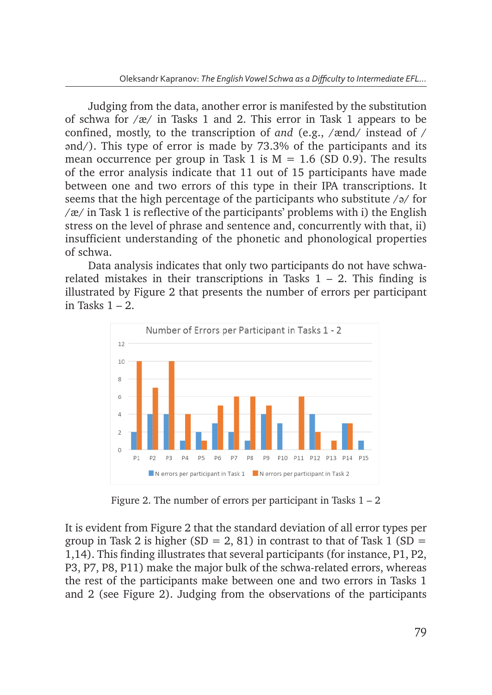Judging from the data, another error is manifested by the substitution of schwa for /æ/ in Tasks 1 and 2. This error in Task 1 appears to be confined, mostly, to the transcription of *and* (e.g., /ænd/ instead of / ənd/). This type of error is made by 73.3% of the participants and its mean occurrence per group in Task 1 is  $M = 1.6$  (SD 0.9). The results  $\frac{1}{10}$  and  $\frac{1}{10}$  in Task 1 is M  $\frac{1}{10}$  (SD 0.9). The results of the error analysis indicate that 11 out of 15 participants have made between one and two errors of this type in their IPA transcriptions. It seems that the high percentage of the participants who substitute /ə/ for /æ/ in Task  $1$  is reflective of the participants' problems with i) the English stress on the level of phrase and sentence and, concurrently with that, ii) insufficient understanding of the t insufficient understanding of the phonetic and phonological properties of cohum of schwa.

Data analysis indicates that only two participants do not have schwarelated mistakes in their transcriptions in Tasks 1 – 2. This finding is illustrated by Figure 2 that presents the number of errors per participant in Tasks  $1 - 2$ .



Figure 2. The number of errors per participant in Tasks 1 – 2 **Figure 2**. The number of errors per participant in Tasks 1 – 2

It is evident from Figure 2 that the standard deviation of all error types per group in Task 2 is higher (SD = 2, 81) in contrast to that of Task 1 (SD = 1,14). This finding illustrates that several participants (for instance, P1, P2, experience in that several participants (for instance, participants (for instance),  $\frac{1}{2}$ ,  $\frac{1}{2}$ ,  $\frac{1}{2}$ ,  $\frac{1}{2}$ ,  $\frac{1}{2}$ ,  $\frac{1}{2}$ ,  $\frac{1}{2}$ ,  $\frac{1}{2}$ ,  $\frac{1}{2}$ ,  $\frac{1}{2}$ ,  $\frac{1}{2}$ ,  $\frac{1}{2}$ ,  $\frac{1}{$ the rest of the participants make between one and two errors in Tasks 1 and 2 (see Figure 2). Judging from the observations of the participants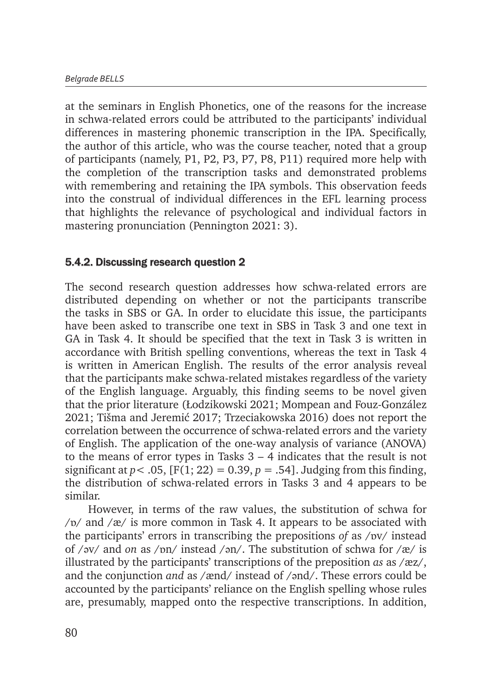at the seminars in English Phonetics, one of the reasons for the increase in schwa-related errors could be attributed to the participants' individual differences in mastering phonemic transcription in the IPA. Specifically, the author of this article, who was the course teacher, noted that a group of participants (namely, P1, P2, P3, P7, P8, P11) required more help with the completion of the transcription tasks and demonstrated problems with remembering and retaining the IPA symbols. This observation feeds into the construal of individual differences in the EFL learning process that highlights the relevance of psychological and individual factors in mastering pronunciation (Pennington 2021: 3).

### 5.4.2. Discussing research question 2

The second research question addresses how schwa-related errors are distributed depending on whether or not the participants transcribe the tasks in SBS or GA. In order to elucidate this issue, the participants have been asked to transcribe one text in SBS in Task 3 and one text in GA in Task 4. It should be specified that the text in Task 3 is written in accordance with British spelling conventions, whereas the text in Task 4 is written in American English. The results of the error analysis reveal that the participants make schwa-related mistakes regardless of the variety of the English language. Arguably, this finding seems to be novel given that the prior literature (Łodzikowski 2021; Mompean and Fouz-González 2021; Tišma and Jeremić 2017; Trzeciakowska 2016) does not report the correlation between the occurrence of schwa-related errors and the variety of English. The application of the one-way analysis of variance (ANOVA) to the means of error types in Tasks 3 – 4 indicates that the result is not significant at  $p < .05$ , [F(1; 22) = 0.39,  $p = .54$ ]. Judging from this finding, the distribution of schwa-related errors in Tasks 3 and 4 appears to be similar.

However, in terms of the raw values, the substitution of schwa for  $/v$  and  $\alpha$  is more common in Task 4. It appears to be associated with the participants' errors in transcribing the prepositions *of* as /ɒv/ instead of /əv/ and *on* as /ɒn/ instead /ən/. The substitution of schwa for /æ/ is illustrated by the participants' transcriptions of the preposition *as* as /æz/, and the conjunction *and* as /ænd/ instead of /ənd/. These errors could be accounted by the participants' reliance on the English spelling whose rules are, presumably, mapped onto the respective transcriptions. In addition,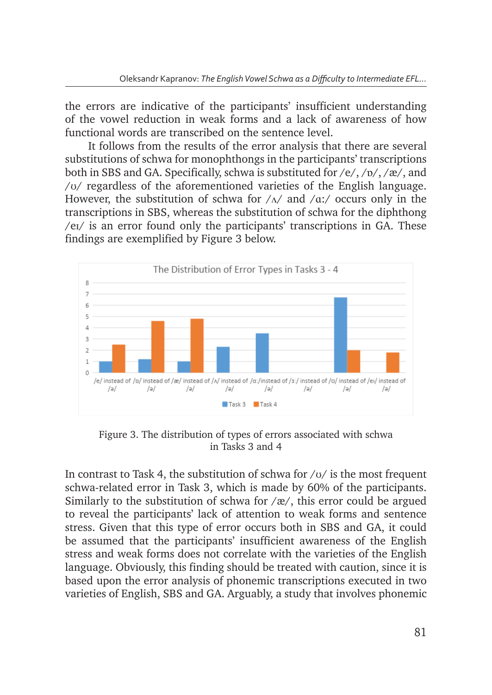the errors are indicative of the participants' insufficient understanding of the vowel reduction in weak forms and a lack of awareness of how functional words are transcribed on the sentence level.

It follows from the results of the error analysis that there are several substitutions of schwa for monophthongs in the participants' transcriptions both in SBS and GA. Specifically, schwa is substituted for /e/, /ɒ/, /æ/, and / $\sigma$ / regardless of the aforementioned varieties of the English language. However, the substitution of schwa for  $/\Lambda$  and  $/\alpha$ . cocurs only in the transcriptions in SBS, whereas the substitution of schwa for the diphthong /eɪ/ is an error found only the participants' transcriptions in GA. These findings are exemplified by Figure 3 below.



Figure 3. The distribution of types of errors associated with schwa in Tasks 3 and 4

In contrast to Task 4, the substitution of schwa for  $/\nu/$  is the most frequent schwa-related error in Task 3, which is made by 60% of the participants. Similarly to the substitution of schwa for  $\alpha$ , this error could be argued entification of the experiments of extraction to year, and sented being the angles.<br>to reveal the participants' lack of attention to weak forms and sentence stress. Given that this type of error occurs both in SBS and GA, it could be assumed that the participants' insufficient awareness of the English stress and weak forms does not correlate with the varieties of the English language. Obviously, this finding should be treated with caution, since it is based upon the error analysis of phonemic transcriptions executed in two varieties of English, SBS and GA. Arguably, a study that involves phonemic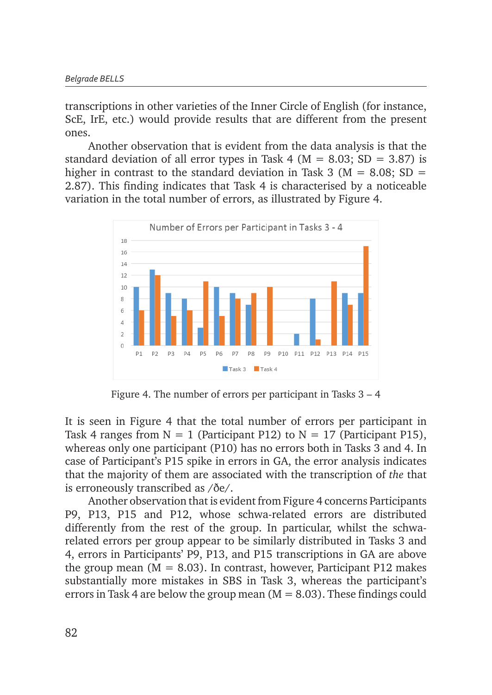transcriptions in other varieties of the Inner Circle of English (for instance, Eurostriptions in other variouses of the finite stricts of anglien (for metance, formation) ones. deviation of all error types in Task 4 (M = 8.03; SD = 3.87) is higher in contrast to the

Another observation that is evident from the data analysis is that the standard deviation of all error types in Task 4 ( $M = 8.03$ ; SD = 3.87) is higher in contrast to the standard deviation in Task 3 ( $M = 8.08$ ; SD = 2.87). This finding indicates that Task 4 is characterised by a noticeable variation in the total number of errors, as illustrated by Figure 4.



Figure 4. The number of errors per participant in Tasks 3 – 4 **Figure 4**. The number of errors per participant in Tasks 3 – 4

It is seen in Figure 4 that the total number of errors per participant in Task 4 ranges from  $N = 1$  (Participant P12) to  $N = 17$  (Participant P15), whereas only one participant (P10) has no errors both in Tasks 3 and 4. In case of Participant's P15 spike in errors in GA, the error analysis indicates that the majority of them are associated with the transcription of *the* that is erroneously transcribed as /ðe/. that is erroneously transcribed as /ðe/.

Another observation that is evident from Figure 4 concerns Participants P9, P13, P15 and P12, whose schwa-related errors are distributed  $\frac{1}{2}$ ,  $\frac{1}{2}$ ,  $\frac{1}{2}$ , whose schwa-related errors are distributed differently from the rest of the group. In particular, whilst the schwarelated errors per group appear to be similarly distributed in Tasks 3 and 4, errors in Participants' P9, P13, and P15 transcriptions in GA are above the group mean ( $M = 8.03$ ). In contrast, however, Participant P12 makes substantially more mistakes in SBS in Task 3, whereas the participant's errors in Task 4 are below the group mean  $(M = 8.03)$ . These findings could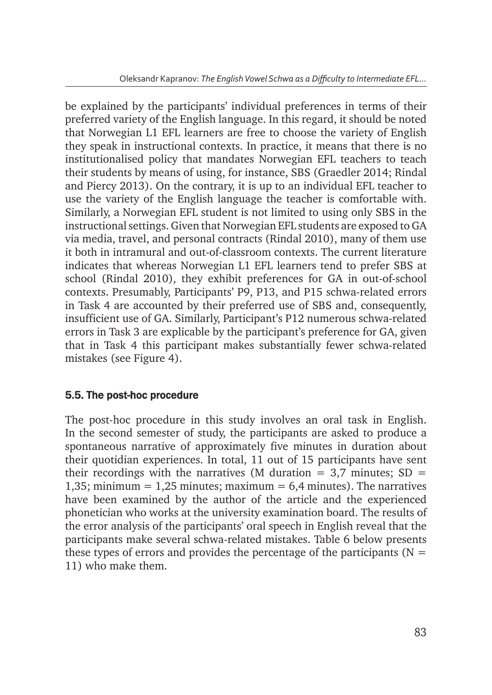be explained by the participants' individual preferences in terms of their preferred variety of the English language. In this regard, it should be noted that Norwegian L1 EFL learners are free to choose the variety of English they speak in instructional contexts. In practice, it means that there is no institutionalised policy that mandates Norwegian EFL teachers to teach their students by means of using, for instance, SBS (Graedler 2014; Rindal and Piercy 2013). On the contrary, it is up to an individual EFL teacher to use the variety of the English language the teacher is comfortable with. Similarly, a Norwegian EFL student is not limited to using only SBS in the instructional settings. Given that Norwegian EFL students are exposed to GA via media, travel, and personal contracts (Rindal 2010), many of them use it both in intramural and out-of-classroom contexts. The current literature indicates that whereas Norwegian L1 EFL learners tend to prefer SBS at school (Rindal 2010), they exhibit preferences for GA in out-of-school contexts. Presumably, Participants' P9, P13, and P15 schwa-related errors in Task 4 are accounted by their preferred use of SBS and, consequently, insufficient use of GA. Similarly, Participant's P12 numerous schwa-related errors in Task 3 are explicable by the participant's preference for GA, given that in Task 4 this participant makes substantially fewer schwa-related mistakes (see Figure 4).

### 5.5. The post-hoc procedure

The post-hoc procedure in this study involves an oral task in English. In the second semester of study, the participants are asked to produce a spontaneous narrative of approximately five minutes in duration about their quotidian experiences. In total, 11 out of 15 participants have sent their recordings with the narratives (M duration  $= 3.7$  minutes; SD  $=$ 1,35; minimum = 1,25 minutes; maximum = 6,4 minutes). The narratives have been examined by the author of the article and the experienced phonetician who works at the university examination board. The results of the error analysis of the participants' oral speech in English reveal that the participants make several schwa-related mistakes. Table 6 below presents these types of errors and provides the percentage of the participants ( $N =$ 11) who make them.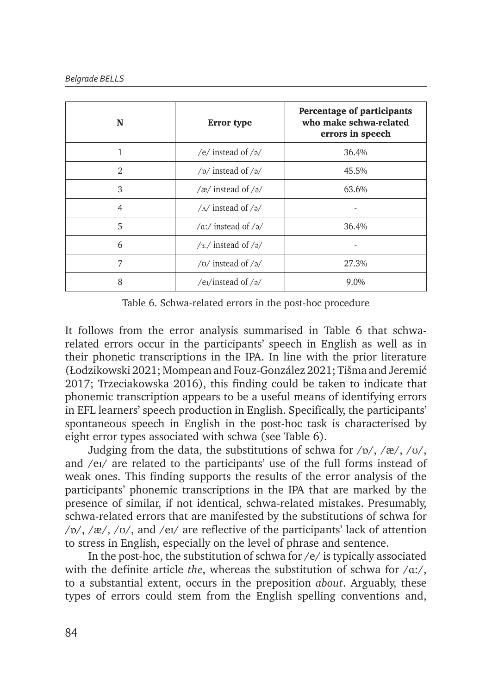| N              | <b>Error</b> type                | Percentage of participants<br>who make schwa-related<br>errors in speech |
|----------------|----------------------------------|--------------------------------------------------------------------------|
|                | /e/ instead of $/a$ /            | 36.4%                                                                    |
| $\mathfrak{D}$ | / $p/$ instead of / $p/$         | 45.5%                                                                    |
| 3              | /æ/ instead of $/a$ /            | 63.6%                                                                    |
| 4              | $/\Lambda$ instead of $/\Lambda$ |                                                                          |
| 5              | /a:/ instead of /ə/              | 36.4%                                                                    |
| 6              | $/3$ :/ instead of $/9/$         |                                                                          |
| 7              | / $U$ instead of / $\partial$ /  | 27.3%                                                                    |
| 8              | /e <sub>I</sub> /instead of $/a$ | 9.0%                                                                     |

Table 6. Schwa-related errors in the post-hoc procedure

It follows from the error analysis summarised in Table 6 that schwarelated errors occur in the participants' speech in English as well as in their phonetic transcriptions in the IPA. In line with the prior literature (Łodzikowski 2021; Mompean and Fouz-González 2021; Tišma and Jeremić 2017; Trzeciakowska 2016), this finding could be taken to indicate that phonemic transcription appears to be a useful means of identifying errors in EFL learners' speech production in English. Specifically, the participants' spontaneous speech in English in the post-hoc task is characterised by eight error types associated with schwa (see Table 6).

Judging from the data, the substitutions of schwa for  $/p/$ ,  $/æ/$ ,  $/υ/$ , and /eɪ/ are related to the participants' use of the full forms instead of weak ones. This finding supports the results of the error analysis of the participants' phonemic transcriptions in the IPA that are marked by the presence of similar, if not identical, schwa-related mistakes. Presumably, schwa-related errors that are manifested by the substitutions of schwa for  $/\nu$ ,  $/\alpha$ ,  $/\nu$ , and  $/\alpha$  are reflective of the participants' lack of attention to stress in English, especially on the level of phrase and sentence.

In the post-hoc, the substitution of schwa for /e/ is typically associated with the definite article *the*, whereas the substitution of schwa for /ɑ:/, to a substantial extent, occurs in the preposition *about*. Arguably, these types of errors could stem from the English spelling conventions and,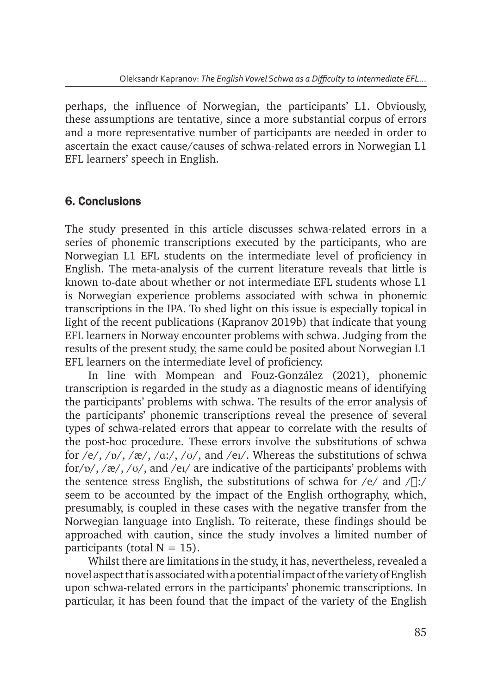perhaps, the influence of Norwegian, the participants' L1. Obviously, these assumptions are tentative, since a more substantial corpus of errors and a more representative number of participants are needed in order to ascertain the exact cause/causes of schwa-related errors in Norwegian L1 EFL learners' speech in English.

# 6. Conclusions

The study presented in this article discusses schwa-related errors in a series of phonemic transcriptions executed by the participants, who are Norwegian L1 EFL students on the intermediate level of proficiency in English. The meta-analysis of the current literature reveals that little is known to-date about whether or not intermediate EFL students whose L1 is Norwegian experience problems associated with schwa in phonemic transcriptions in the IPA. To shed light on this issue is especially topical in light of the recent publications (Kapranov 2019b) that indicate that young EFL learners in Norway encounter problems with schwa. Judging from the results of the present study, the same could be posited about Norwegian L1 EFL learners on the intermediate level of proficiency.

In line with Mompean and Fouz-González (2021), phonemic transcription is regarded in the study as a diagnostic means of identifying the participants' problems with schwa. The results of the error analysis of the participants' phonemic transcriptions reveal the presence of several types of schwa-related errors that appear to correlate with the results of the post-hoc procedure. These errors involve the substitutions of schwa for /e/, / $p$ /, /æ/, / $a$ :/, / $v$ /, and /ei/. Whereas the substitutions of schwa for/ɒ/, /æ/, /ʊ/, and /eɪ/ are indicative of the participants' problems with the sentence stress English, the substitutions of schwa for  $/e$  and  $\sqrt{||}$ : seem to be accounted by the impact of the English orthography, which, presumably, is coupled in these cases with the negative transfer from the Norwegian language into English. To reiterate, these findings should be approached with caution, since the study involves a limited number of participants (total  $N = 15$ ).

Whilst there are limitations in the study, it has, nevertheless, revealed a novel aspect that is associated with a potential impact of the variety of English upon schwa-related errors in the participants' phonemic transcriptions. In particular, it has been found that the impact of the variety of the English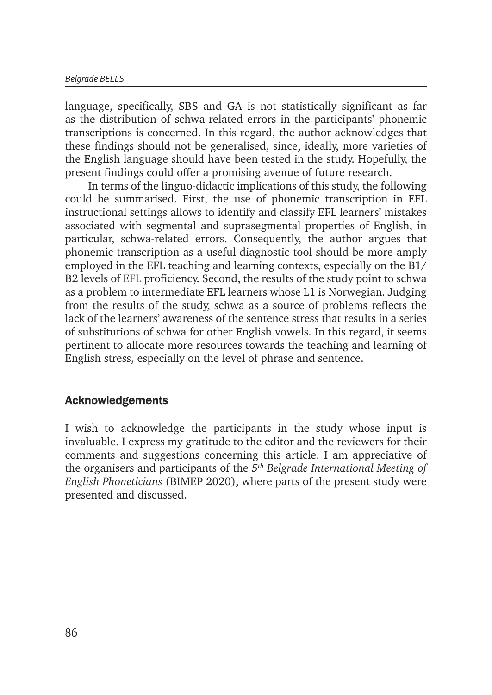language, specifically, SBS and GA is not statistically significant as far as the distribution of schwa-related errors in the participants' phonemic transcriptions is concerned. In this regard, the author acknowledges that these findings should not be generalised, since, ideally, more varieties of the English language should have been tested in the study. Hopefully, the present findings could offer a promising avenue of future research.

In terms of the linguo-didactic implications of this study, the following could be summarised. First, the use of phonemic transcription in EFL instructional settings allows to identify and classify EFL learners' mistakes associated with segmental and suprasegmental properties of English, in particular, schwa-related errors. Consequently, the author argues that phonemic transcription as a useful diagnostic tool should be more amply employed in the EFL teaching and learning contexts, especially on the B1/ B2 levels of EFL proficiency. Second, the results of the study point to schwa as a problem to intermediate EFL learners whose L1 is Norwegian. Judging from the results of the study, schwa as a source of problems reflects the lack of the learners' awareness of the sentence stress that results in a series of substitutions of schwa for other English vowels. In this regard, it seems pertinent to allocate more resources towards the teaching and learning of English stress, especially on the level of phrase and sentence.

### Acknowledgements

I wish to acknowledge the participants in the study whose input is invaluable. I express my gratitude to the editor and the reviewers for their comments and suggestions concerning this article. I am appreciative of the organisers and participants of the *5th Belgrade International Meeting of English Phoneticians* (BIMEP 2020), where parts of the present study were presented and discussed.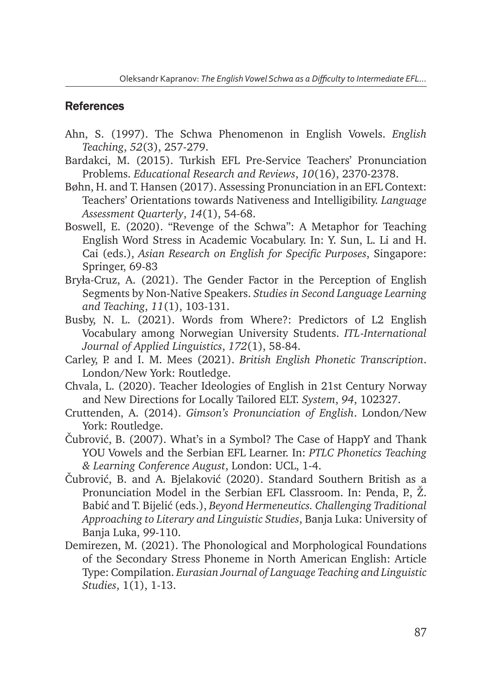### **References**

- Ahn, S. (1997). The Schwa Phenomenon in English Vowels. *English Teaching*, *52*(3), 257-279.
- Bardakci, M. (2015). Turkish EFL Pre-Service Teachers' Pronunciation Problems. *Educational Research and Reviews*, *10*(16), 2370-2378.
- Bøhn, H. and T. Hansen (2017). Assessing Pronunciation in an EFL Context: Teachers' Orientations towards Nativeness and Intelligibility. *Language Assessment Quarterly*, *14*(1), 54-68.
- Boswell, E. (2020). "Revenge of the Schwa": A Metaphor for Teaching English Word Stress in Academic Vocabulary. In: Y. Sun, L. Li and H. Cai (eds.), *Asian Research on English for Specific Purposes*, Singapore: Springer, 69-83
- Bryła-Cruz, A. (2021). The Gender Factor in the Perception of English Segments by Non-Native Speakers. *Studies in Second Language Learning and Teaching*, *11*(1), 103-131.
- Busby, N. L. (2021). Words from Where?: Predictors of L2 English Vocabulary among Norwegian University Students. *ITL-International Journal of Applied Linguistics*, *172*(1), 58-84.
- Carley, P. and I. M. Mees (2021). *British English Phonetic Transcription*. London/New York: Routledge.
- Chvala, L. (2020). Teacher Ideologies of English in 21st Century Norway and New Directions for Locally Tailored ELT. *System*, *94*, 102327.
- Cruttenden, A. (2014). *Gimson's Pronunciation of English*. London/New York: Routledge.
- Čubrović, B. (2007). What's in a Symbol? The Case of HappY and Thank YOU Vowels and the Serbian EFL Learner. In: *PTLC Phonetics Teaching & Learning Conference August*, London: UCL, 1-4.
- Čubrović, B. and A. Bjelaković (2020). Standard Southern British as a Pronunciation Model in the Serbian EFL Classroom. In: Penda, P., Ž. Babić and T. Bijelić (eds.), *Beyond Hermeneutics. Challenging Traditional Approaching to Literary and Linguistic Studies*, Banja Luka: University of Banja Luka, 99-110.
- Demirezen, M. (2021). The Phonological and Morphological Foundations of the Secondary Stress Phoneme in North American English: Article Type: Compilation. *Eurasian Journal of Language Teaching and Linguistic Studies*, 1(1), 1-13.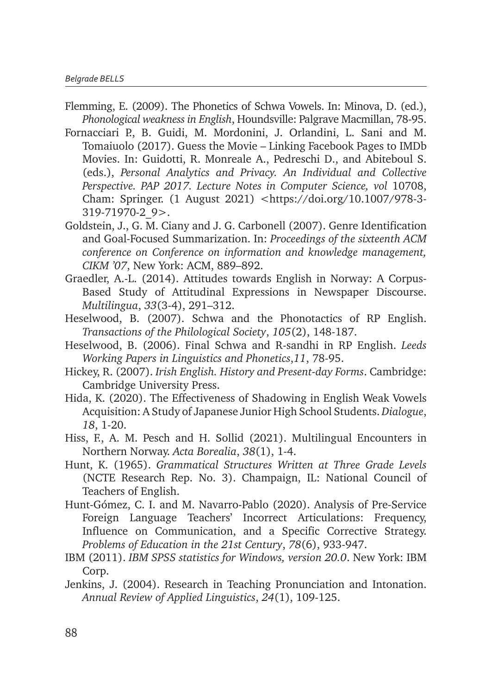- Flemming, E. (2009). The Phonetics of Schwa Vowels. In: Minova, D. (ed.), *Phonological weakness in English*, Houndsville: Palgrave Macmillan, 78-95.
- Fornacciari P., B. Guidi, M. Mordonini, J. Orlandini, L. Sani and M. Tomaiuolo (2017). Guess the Movie – Linking Facebook Pages to IMDb Movies. In: Guidotti, R. Monreale A., Pedreschi D., and Abiteboul S. (eds.), *Personal Analytics and Privacy. An Individual and Collective Perspective. PAP 2017. Lecture Notes in Computer Science, vol* 10708, Cham: Springer. (1 August 2021) <https://doi.org/10.1007/978-3- 319-71970-2\_9>.
- Goldstein, J., G. M. Ciany and J. G. Carbonell (2007). Genre Identification and Goal-Focused Summarization. In: *Proceedings of the sixteenth ACM conference on Conference on information and knowledge management, CIKM '07*, New York: ACM, 889–892.
- Graedler, A.-L. (2014). Attitudes towards English in Norway: A Corpus-Based Study of Attitudinal Expressions in Newspaper Discourse. *Multilingua*, *33*(3-4), 291–312.
- Heselwood, B. (2007). Schwa and the Phonotactics of RP English. *Transactions of the Philological Society*, *105*(2), 148-187.
- Heselwood, B. (2006). Final Schwa and R-sandhi in RP English. *Leeds Working Papers in Linguistics and Phonetics*,*11*, 78-95.
- Hickey, R. (2007). *Irish English. History and Present-day Forms*. Cambridge: Cambridge University Press.
- Hida, K. (2020). The Effectiveness of Shadowing in English Weak Vowels Acquisition: A Study of Japanese Junior High School Students. *Dialogue*, *18*, 1-20.
- Hiss, F., A. M. Pesch and H. Sollid (2021). Multilingual Encounters in Northern Norway. *Acta Borealia*, *38*(1), 1-4.
- Hunt, K. (1965). *Grammatical Structures Written at Three Grade Levels* (NCTE Research Rep. No. 3). Champaign, IL: National Council of Teachers of English.
- Hunt-Gómez, C. I. and M. Navarro-Pablo (2020). Analysis of Pre-Service Foreign Language Teachers' Incorrect Articulations: Frequency, Influence on Communication, and a Specific Corrective Strategy. *Problems of Education in the 21st Century*, *78*(6), 933-947.
- IBM (2011). *IBM SPSS statistics for Windows, version 20.0*. New York: IBM Corp.
- Jenkins, J. (2004). Research in Teaching Pronunciation and Intonation. *Annual Review of Applied Linguistics*, *24*(1), 109-125.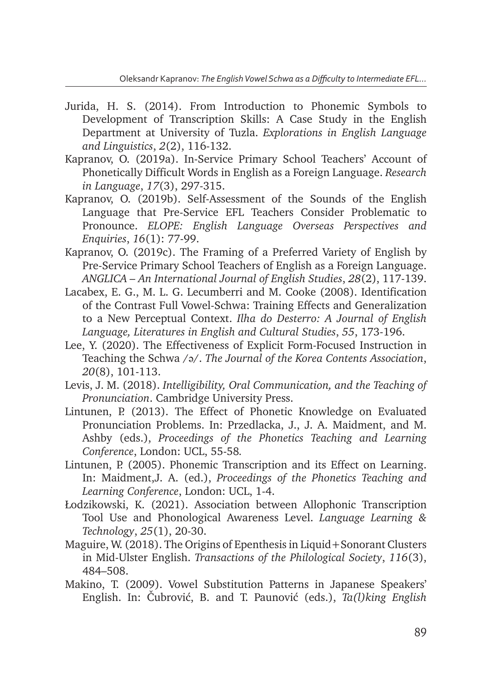- Jurida, H. S. (2014). From Introduction to Phonemic Symbols to Development of Transcription Skills: A Case Study in the English Department at University of Tuzla. *Explorations in English Language and Linguistics*, *2*(2), 116-132.
- Kapranov, O. (2019a). In-Service Primary School Teachers' Account of Phonetically Difficult Words in English as a Foreign Language. *Research in Language*, *17*(3), 297-315.
- Kapranov, O. (2019b). Self-Assessment of the Sounds of the English Language that Pre-Service EFL Teachers Consider Problematic to Pronounce. *ELOPE: English Language Overseas Perspectives and Enquiries*, *16*(1): 77-99.
- Kapranov, O. (2019c). The Framing of a Preferred Variety of English by Pre-Service Primary School Teachers of English as a Foreign Language. *ANGLICA – An International Journal of English Studies*, *28*(2), 117-139.
- Lacabex, E. G., M. L. G. Lecumberri and M. Cooke (2008). Identification of the Contrast Full Vowel-Schwa: Training Effects and Generalization to a New Perceptual Context. *Ilha do Desterro: A Journal of English Language, Literatures in English and Cultural Studies*, *55*, 173-196.
- Lee, Y. (2020). The Effectiveness of Explicit Form-Focused Instruction in Teaching the Schwa /ə/. *The Journal of the Korea Contents Association*, *20*(8), 101-113.
- Levis, J. M. (2018). *Intelligibility, Oral Communication, and the Teaching of Pronunciation*. Cambridge University Press.
- Lintunen, P. (2013). The Effect of Phonetic Knowledge on Evaluated Pronunciation Problems. In: Przedlacka, J., J. A. Maidment, and M. Ashby (eds.), *Proceedings of the Phonetics Teaching and Learning Conference*, London: UCL, 55-58*.*
- Lintunen, P. (2005). Phonemic Transcription and its Effect on Learning. In: Maidment,J. A. (ed.), *Proceedings of the Phonetics Teaching and Learning Conference*, London: UCL, 1-4.
- Łodzikowski, K. (2021). Association between Allophonic Transcription Tool Use and Phonological Awareness Level. *Language Learning & Technology*, *25*(1), 20-30.
- Maguire, W. (2018). The Origins of Epenthesis in Liquid+Sonorant Clusters in Mid-Ulster English. *Transactions of the Philological Society*, *116*(3), 484–508.
- Makino, T. (2009). Vowel Substitution Patterns in Japanese Speakers' English. In: Čubrović, B. and T. Paunović (eds.), *Ta(l)king English*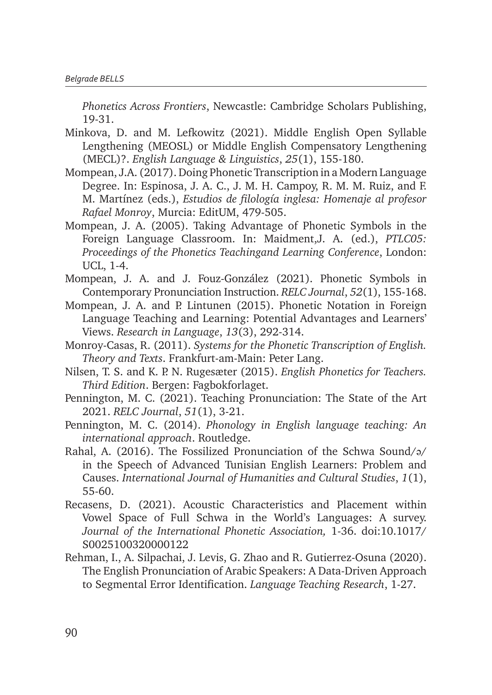*Phonetics Across Frontiers*, Newcastle: Cambridge Scholars Publishing, 19-31.

- Minkova, D. and M. Lefkowitz (2021). Middle English Open Syllable Lengthening (MEOSL) or Middle English Compensatory Lengthening (MECL)?. *English Language & Linguistics*, *25*(1), 155-180.
- Mompean, J.A. (2017). Doing Phonetic Transcription in a Modern Language Degree. In: Espinosa, J. A. C., J. M. H. Campoy, R. M. M. Ruiz, and F. M. Martínez (eds.), *Estudios de filología inglesa: Homenaje al profesor Rafael Monroy*, Murcia: EditUM, 479-505.
- Mompean, J. A. (2005). Taking Advantage of Phonetic Symbols in the Foreign Language Classroom. In: Maidment,J. A. (ed.), *PTLC05: Proceedings of the Phonetics Teachingand Learning Conference*, London: UCL, 1-4.
- Mompean, J. A. and J. Fouz-González (2021). Phonetic Symbols in Contemporary Pronunciation Instruction. *RELC Journal*, *52*(1), 155-168.
- Mompean, J. A. and P. Lintunen (2015). Phonetic Notation in Foreign Language Teaching and Learning: Potential Advantages and Learners' Views. *Research in Language*, *13*(3), 292-314.
- Monroy-Casas, R. (2011). *Systems for the Phonetic Transcription of English. Theory and Texts*. Frankfurt-am-Main: Peter Lang.
- Nilsen, T. S. and K. P. N. Rugesæter (2015). *English Phonetics for Teachers. Third Edition*. Bergen: Fagbokforlaget.
- Pennington, M. C. (2021). Teaching Pronunciation: The State of the Art 2021. *RELC Journal*, *51*(1), 3-21.
- Pennington, M. C. (2014). *Phonology in English language teaching: An international approach*. Routledge.
- Rahal, A. (2016). The Fossilized Pronunciation of the Schwa Sound/ə/ in the Speech of Advanced Tunisian English Learners: Problem and Causes. *International Journal of Humanities and Cultural Studies*, *1*(1), 55-60.
- Recasens, D. (2021). Acoustic Characteristics and Placement within Vowel Space of Full Schwa in the World's Languages: A survey. *Journal of the International Phonetic Association,* 1-36. doi:10.1017/ S0025100320000122
- Rehman, I., A. Silpachai, J. Levis, G. Zhao and R. Gutierrez-Osuna (2020). The English Pronunciation of Arabic Speakers: A Data-Driven Approach to Segmental Error Identification. *Language Teaching Research*, 1-27.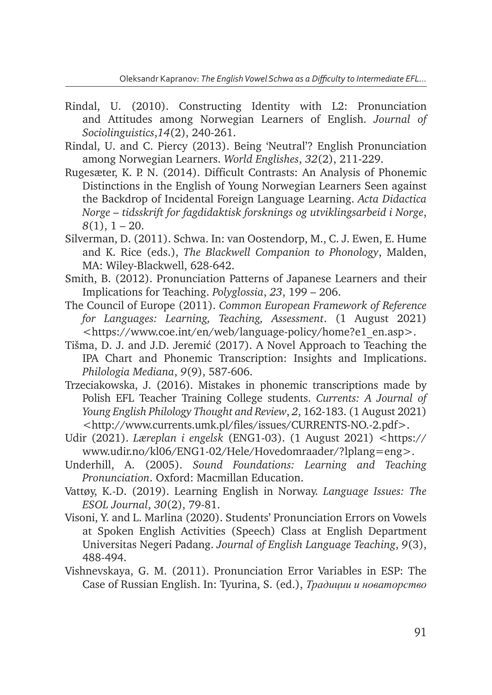- Rindal, U. (2010). Constructing Identity with L2: Pronunciation and Attitudes among Norwegian Learners of English. *Journal of Sociolinguistics*,*14*(2), 240-261.
- Rindal, U. and C. Piercy (2013). Being 'Neutral'? English Pronunciation among Norwegian Learners. *World Englishes*, *32*(2), 211-229.
- Rugesæter, K. P. N. (2014). Difficult Contrasts: An Analysis of Phonemic Distinctions in the English of Young Norwegian Learners Seen against the Backdrop of Incidental Foreign Language Learning. *Acta Didactica Norge – tidsskrift for fagdidaktisk forsknings og utviklingsarbeid i Norge*, *8*(1), 1 – 20.
- Silverman, D. (2011). Schwa. In: van Oostendorp, M., C. J. Ewen, E. Hume and K. Rice (eds.), *The Blackwell Companion to Phonology*, Malden, MA: Wiley-Blackwell, 628-642.
- Smith, B. (2012). Pronunciation Patterns of Japanese Learners and their Implications for Teaching. *Polyglossia*, *23*, 199 – 206.
- The Council of Europe (2011). *Common European Framework of Reference for Languages: Learning, Teaching, Assessment*. (1 August 2021) <https://www.coe.int/en/web/language-policy/home?e1\_en.asp>.
- Tišma, D. J. and J.D. Jeremić (2017). A Novel Approach to Teaching the IPA Chart and Phonemic Transcription: Insights and Implications. *Philologia Mediana*, *9*(9), 587-606.
- Trzeciakowska, J. (2016). Mistakes in phonemic transcriptions made by Polish EFL Teacher Training College students. *Currents: A Journal of Young English Philology Thought and Review*, *2*, 162-183. (1 August 2021) <http://www.currents.umk.pl/files/issues/CURRENTS-NO.-2.pdf>.
- Udir (2021). *Læreplan i engelsk* (ENG1-03). (1 August 2021) <https:// www.udir.no/kl06/ENG1-02/Hele/Hovedomraader/?lplang=eng>.
- Underhill, A. (2005). *Sound Foundations: Learning and Teaching Pronunciation*. Oxford: Macmillan Education.
- Vattøy, K.-D. (2019). Learning English in Norway. *Language Issues: The ESOL Journal*, *30*(2), 79-81.
- Visoni, Y. and L. Marlina (2020). Students' Pronunciation Errors on Vowels at Spoken English Activities (Speech) Class at English Department Universitas Negeri Padang. *Journal of English Language Teaching*, *9*(3), 488-494.
- Vishnevskaya, G. M. (2011). Pronunciation Error Variables in ESP: The Case of Russian English. In: Tyurina, S. (ed.), *Традиции и новаторство*